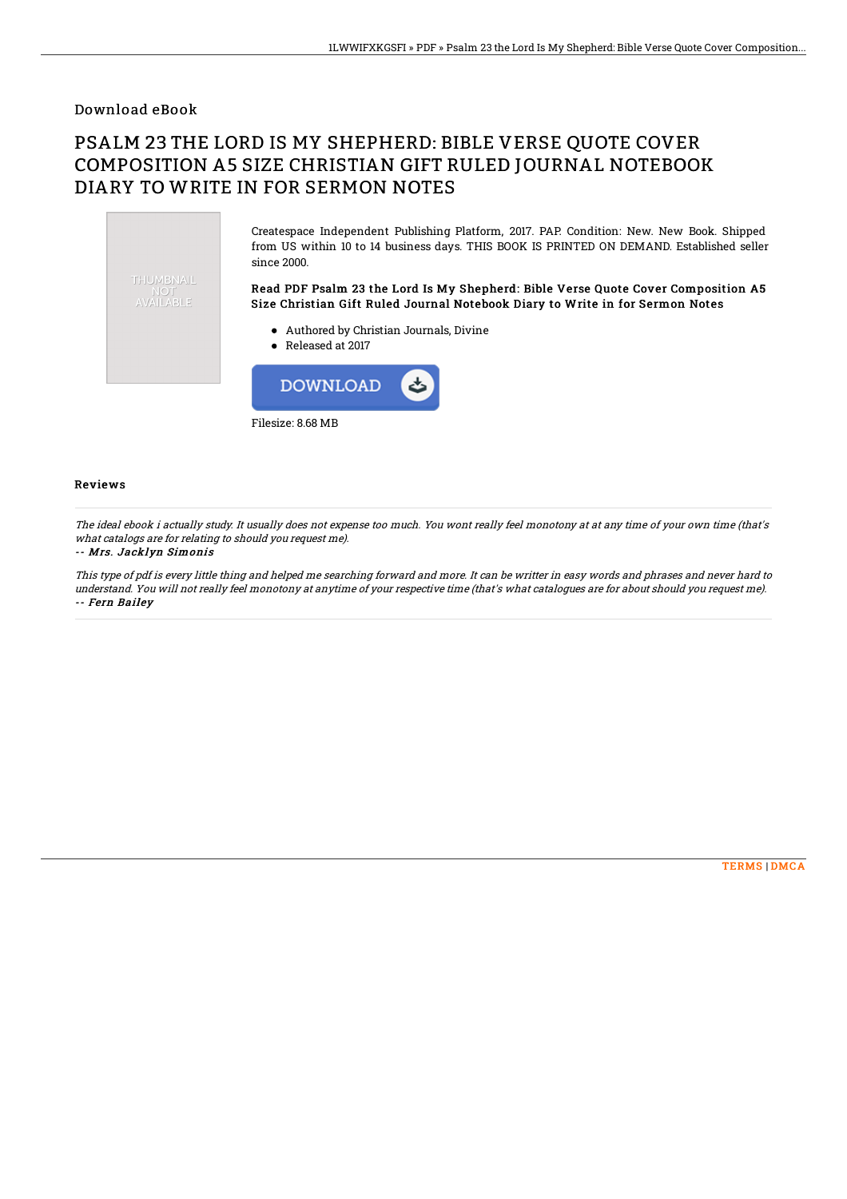### Download eBook

# PSALM 23 THE LORD IS MY SHEPHERD: BIBLE VERSE QUOTE COVER COMPOSITION A5 SIZE CHRISTIAN GIFT RULED JOURNAL NOTEBOOK DIARY TO WRITE IN FOR SERMON NOTES

Createspace Independent Publishing Platform, 2017. PAP. Condition: New. New Book. Shipped from US within 10 to 14 business days. THIS BOOK IS PRINTED ON DEMAND. Established seller since 2000. THUMBNAIL Read PDF Psalm 23 the Lord Is My Shepherd: Bible Verse Quote Cover Composition A5 NOT<br>AVAILABLE Size Christian Gift Ruled Journal Notebook Diary to Write in for Sermon Notes

- Authored by Christian Journals, Divine
- Released at 2017



### Reviews

The ideal ebook i actually study. It usually does not expense too much. You wont really feel monotony at at any time of your own time (that's what catalogs are for relating to should you request me).

#### -- Mrs. Jacklyn Simonis

This type of pdf is every little thing and helped me searching forward and more. It can be writter in easy words and phrases and never hard to understand. You will not really feel monotony at anytime of your respective time (that's what catalogues are for about should you request me). -- Fern Bailey